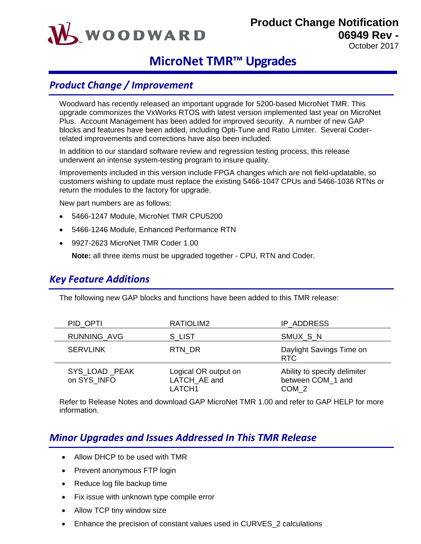# WOODWARD

**Product Change Notification 06949 Rev -**

October 2017

## **MicroNet TMR™ Upgrades**

### *Product Change / Improvement*

Woodward has recently released an important upgrade for 5200-based MicroNet TMR. This upgrade commonizes the VxWorks RTOS with latest version implemented last year on MicroNet Plus. Account Management has been added for improved security. A number of new GAP blocks and features have been added, including Opti-Tune and Ratio Limiter. Several Coderrelated improvements and corrections have also been included.

In addition to our standard software review and regression testing process, this release underwent an intense system-testing program to insure quality.

Improvements included in this version include FPGA changes which are not field-updatable, so customers wishing to update must replace the existing 5466-1047 CPUs and 5466-1036 RTNs or return the modules to the factory for upgrade.

New part numbers are as follows:

- 5466-1247 Module, MicroNet TMR CPU5200
- 5466-1246 Module, Enhanced Performance RTN
- 9927-2623 MicroNet TMR Coder 1.00

**Note:** all three items must be upgraded together - CPU, RTN and Coder.

#### *Key Feature Additions*

The following new GAP blocks and functions have been added to this TMR release:

| PID OPTI                     | RATIOLIM2                                      | IP ADDRESS                                                 |
|------------------------------|------------------------------------------------|------------------------------------------------------------|
| <b>RUNNING AVG</b>           | S LIST                                         | SMUX_S_N                                                   |
| <b>SERVLINK</b>              | RTN DR                                         | Daylight Savings Time on<br>RTC                            |
| SYS_LOAD_PEAK<br>on SYS INFO | Logical OR output on<br>LATCH_AE and<br>LATCH1 | Ability to specify delimiter<br>between COM 1 and<br>COM 2 |

Refer to Release Notes and download GAP MicroNet TMR 1.00 and refer to GAP HELP for more information.

#### *Minor Upgrades and Issues Addressed In This TMR Release*

- Allow DHCP to be used with TMR
- Prevent anonymous FTP login
- Reduce log file backup time
- Fix issue with unknown type compile error
- Allow TCP tiny window size
- Enhance the precision of constant values used in CURVES\_2 calculations